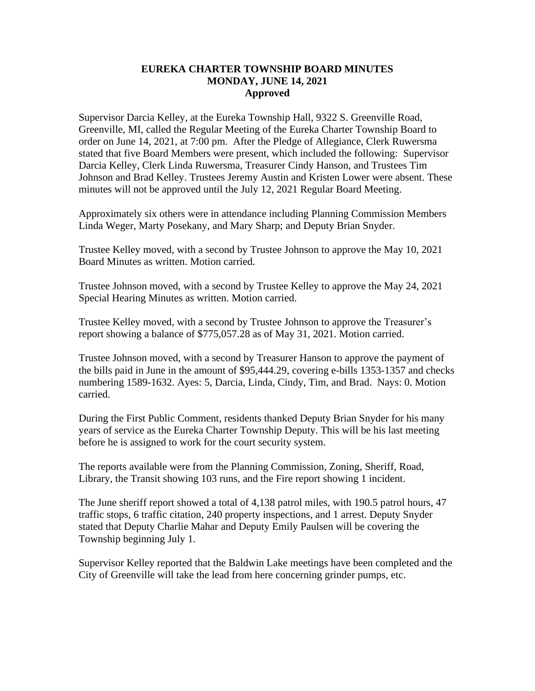## **EUREKA CHARTER TOWNSHIP BOARD MINUTES MONDAY, JUNE 14, 2021 Approved**

Supervisor Darcia Kelley, at the Eureka Township Hall, 9322 S. Greenville Road, Greenville, MI, called the Regular Meeting of the Eureka Charter Township Board to order on June 14, 2021, at 7:00 pm. After the Pledge of Allegiance, Clerk Ruwersma stated that five Board Members were present, which included the following: Supervisor Darcia Kelley, Clerk Linda Ruwersma, Treasurer Cindy Hanson, and Trustees Tim Johnson and Brad Kelley. Trustees Jeremy Austin and Kristen Lower were absent. These minutes will not be approved until the July 12, 2021 Regular Board Meeting.

Approximately six others were in attendance including Planning Commission Members Linda Weger, Marty Posekany, and Mary Sharp; and Deputy Brian Snyder.

Trustee Kelley moved, with a second by Trustee Johnson to approve the May 10, 2021 Board Minutes as written. Motion carried.

Trustee Johnson moved, with a second by Trustee Kelley to approve the May 24, 2021 Special Hearing Minutes as written. Motion carried.

Trustee Kelley moved, with a second by Trustee Johnson to approve the Treasurer's report showing a balance of \$775,057.28 as of May 31, 2021. Motion carried.

Trustee Johnson moved, with a second by Treasurer Hanson to approve the payment of the bills paid in June in the amount of \$95,444.29, covering e-bills 1353-1357 and checks numbering 1589-1632. Ayes: 5, Darcia, Linda, Cindy, Tim, and Brad. Nays: 0. Motion carried.

During the First Public Comment, residents thanked Deputy Brian Snyder for his many years of service as the Eureka Charter Township Deputy. This will be his last meeting before he is assigned to work for the court security system.

The reports available were from the Planning Commission, Zoning, Sheriff, Road, Library, the Transit showing 103 runs, and the Fire report showing 1 incident.

The June sheriff report showed a total of 4,138 patrol miles, with 190.5 patrol hours, 47 traffic stops, 6 traffic citation, 240 property inspections, and 1 arrest. Deputy Snyder stated that Deputy Charlie Mahar and Deputy Emily Paulsen will be covering the Township beginning July 1.

Supervisor Kelley reported that the Baldwin Lake meetings have been completed and the City of Greenville will take the lead from here concerning grinder pumps, etc.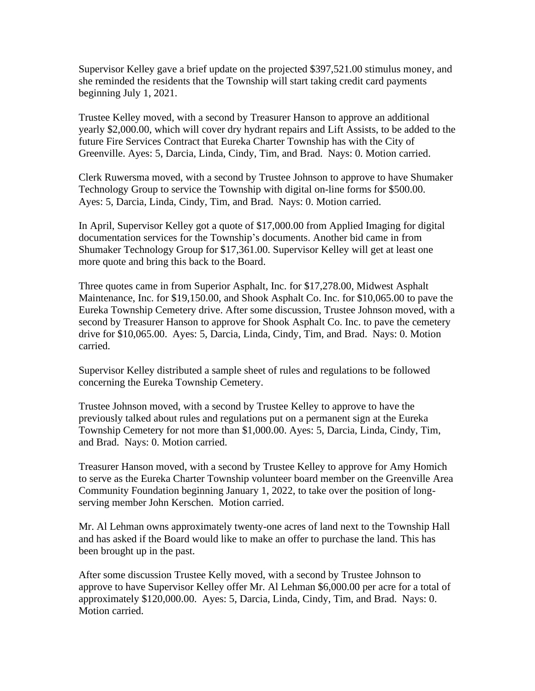Supervisor Kelley gave a brief update on the projected \$397,521.00 stimulus money, and she reminded the residents that the Township will start taking credit card payments beginning July 1, 2021.

Trustee Kelley moved, with a second by Treasurer Hanson to approve an additional yearly \$2,000.00, which will cover dry hydrant repairs and Lift Assists, to be added to the future Fire Services Contract that Eureka Charter Township has with the City of Greenville. Ayes: 5, Darcia, Linda, Cindy, Tim, and Brad. Nays: 0. Motion carried.

Clerk Ruwersma moved, with a second by Trustee Johnson to approve to have Shumaker Technology Group to service the Township with digital on-line forms for \$500.00. Ayes: 5, Darcia, Linda, Cindy, Tim, and Brad. Nays: 0. Motion carried.

In April, Supervisor Kelley got a quote of \$17,000.00 from Applied Imaging for digital documentation services for the Township's documents. Another bid came in from Shumaker Technology Group for \$17,361.00. Supervisor Kelley will get at least one more quote and bring this back to the Board.

Three quotes came in from Superior Asphalt, Inc. for \$17,278.00, Midwest Asphalt Maintenance, Inc. for \$19,150.00, and Shook Asphalt Co. Inc. for \$10,065.00 to pave the Eureka Township Cemetery drive. After some discussion, Trustee Johnson moved, with a second by Treasurer Hanson to approve for Shook Asphalt Co. Inc. to pave the cemetery drive for \$10,065.00. Ayes: 5, Darcia, Linda, Cindy, Tim, and Brad. Nays: 0. Motion carried.

Supervisor Kelley distributed a sample sheet of rules and regulations to be followed concerning the Eureka Township Cemetery.

Trustee Johnson moved, with a second by Trustee Kelley to approve to have the previously talked about rules and regulations put on a permanent sign at the Eureka Township Cemetery for not more than \$1,000.00. Ayes: 5, Darcia, Linda, Cindy, Tim, and Brad. Nays: 0. Motion carried.

Treasurer Hanson moved, with a second by Trustee Kelley to approve for Amy Homich to serve as the Eureka Charter Township volunteer board member on the Greenville Area Community Foundation beginning January 1, 2022, to take over the position of longserving member John Kerschen. Motion carried.

Mr. Al Lehman owns approximately twenty-one acres of land next to the Township Hall and has asked if the Board would like to make an offer to purchase the land. This has been brought up in the past.

After some discussion Trustee Kelly moved, with a second by Trustee Johnson to approve to have Supervisor Kelley offer Mr. Al Lehman \$6,000.00 per acre for a total of approximately \$120,000.00. Ayes: 5, Darcia, Linda, Cindy, Tim, and Brad. Nays: 0. Motion carried.